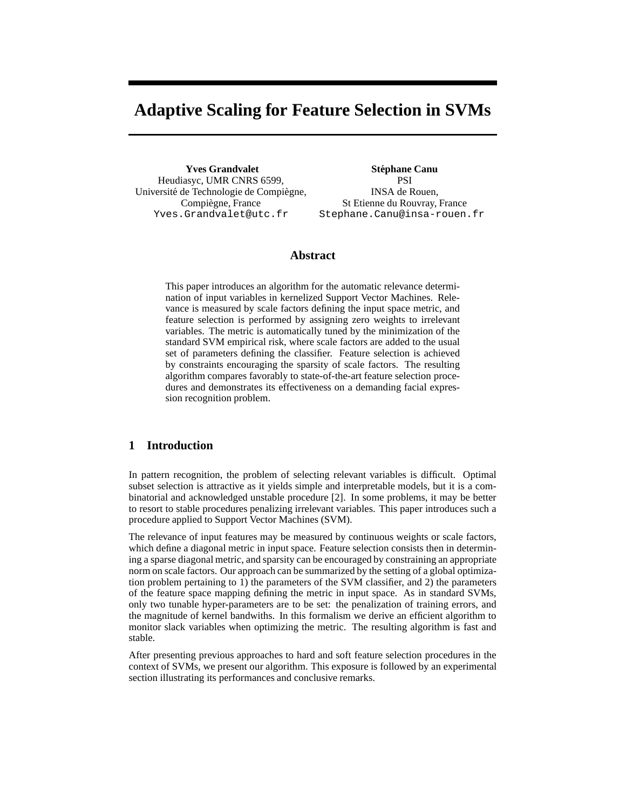# **Adaptive Scaling for Feature Selection in SVMs**

**Yves Grandvalet** Heudiasyc, UMR CNRS 6599, Université de Technologie de Compiègne, Compiègne, France Yves.Grandvalet@utc.fr

**Stephane Canu ´** PSI INSA de Rouen, St Etienne du Rouvray, France Stephane.Canu@insa-rouen.fr

# **Abstract**

This paper introduces an algorithm for the automatic relevance determination of input variables in kernelized Support Vector Machines. Relevance is measured by scale factors defining the input space metric, and feature selection is performed by assigning zero weights to irrelevant variables. The metric is automatically tuned by the minimization of the standard SVM empirical risk, where scale factors are added to the usual set of parameters defining the classifier. Feature selection is achieved by constraints encouraging the sparsity of scale factors. The resulting algorithm compares favorably to state-of-the-art feature selection procedures and demonstrates its effectiveness on a demanding facial expression recognition problem.

## **1 Introduction**

In pattern recognition, the problem of selecting relevant variables is difficult. Optimal subset selection is attractive as it yields simple and interpretable models, but it is a combinatorial and acknowledged unstable procedure [2]. In some problems, it may be better to resort to stable procedures penalizing irrelevant variables. This paper introduces such a procedure applied to Support Vector Machines (SVM).

The relevance of input features may be measured by continuous weights or scale factors, which define a diagonal metric in input space. Feature selection consists then in determining a sparse diagonal metric, and sparsity can be encouraged by constraining an appropriate norm on scale factors. Our approach can be summarized by the setting of a global optimization problem pertaining to 1) the parameters of the SVM classifier, and 2) the parameters of the feature space mapping defining the metric in input space. As in standard SVMs, only two tunable hyper-parameters are to be set: the penalization of training errors, and the magnitude of kernel bandwiths. In this formalism we derive an efficient algorithm to monitor slack variables when optimizing the metric. The resulting algorithm is fast and stable.

After presenting previous approaches to hard and soft feature selection procedures in the context of SVMs, we present our algorithm. This exposure is followed by an experimental section illustrating its performances and conclusive remarks.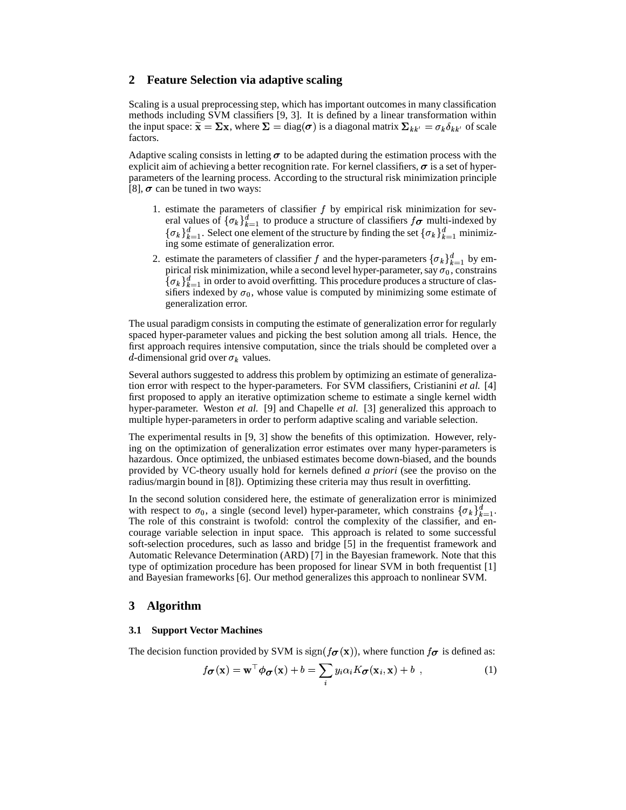## **2 Feature Selection via adaptive scaling**

Scaling is a usual preprocessing step, which has important outcomes in many classification methods including SVM classifiers [9, 3]. It is defined by a linear transformation within the input space:  $\tilde{\mathbf{x}} = \Sigma \mathbf{x}$ , where  $\Sigma = \text{diag}(\boldsymbol{\sigma})$  is a diagonal matrix  $\Sigma_{kk'} = \sigma_k \delta_{kk'}$  of scale factors.

Adaptive scaling consists in letting  $\sigma$  to be adapted during the estimation process with the explicit aim of achieving a better recognition rate. For kernel classifiers,  $\sigma$  is a set of hyperparameters of the learning process. According to the structural risk minimization principle [8],  $\sigma$  can be tuned in two ways:

- 1. estimate the parameters of classifier  $f$  by empirical risk minimization for several values of  $\{\sigma_k\}_{k=1}^d$  to produce a structure of classifiers  $f_{\sigma}$  multi-indexed by  $\{\sigma_k\}_{k=1}^d$ . Select one element of the structure by finding the set  $\{\sigma_k\}_{k=1}^d$  minimizing some estimate of generalization error.
- 2. estimate the parameters of classifier f and the hyper-parameters  $\{\sigma_k\}_{k=1}^d$  by empirical risk minimization, while a second level hyper-parameter, say  $\sigma_0$ , constrains  $\{\sigma_k\}_{k=1}^d$  in order to avoid overfitting. This procedure produces a structure of classifiers indexed by  $\sigma_0$ , whose value is computed by minimizing some estimate of generalization error.

The usual paradigm consists in computing the estimate of generalization error for regularly spaced hyper-parameter values and picking the best solution among all trials. Hence, the first approach requires intensive computation, since the trials should be completed over a d-dimensional grid over  $\sigma_k$  values.

Several authors suggested to address this problem by optimizing an estimate of generalization error with respect to the hyper-parameters. For SVM classifiers, Cristianini *et al.* [4] first proposed to apply an iterative optimization scheme to estimate a single kernel width hyper-parameter. Weston *et al.* [9] and Chapelle *et al.* [3] generalized this approach to multiple hyper-parameters in order to perform adaptive scaling and variable selection.

The experimental results in [9, 3] show the benefits of this optimization. However, relying on the optimization of generalization error estimates over many hyper-parameters is hazardous. Once optimized, the unbiased estimates become down-biased, and the bounds provided by VC-theory usually hold for kernels defined *a priori* (see the proviso on the radius/margin bound in [8]). Optimizing these criteria may thus result in overfitting.

In the second solution considered here, the estimate of generalization error is minimized with respect to  $\sigma_0$ , a single (second level) hyper-parameter, which constrains  $\{\sigma_k\}_{k=1}^d$ . The role of this constraint is twofold: control the complexity of the classifier, and encourage variable selection in input space. This approach is related to some successful soft-selection procedures, such as lasso and bridge [5] in the frequentist framework and Automatic Relevance Determination (ARD) [7] in the Bayesian framework. Note that this type of optimization procedure has been proposed for linear SVM in both frequentist [1] and Bayesian frameworks [6]. Our method generalizes this approach to nonlinear SVM.

## **3 Algorithm**

#### **3.1 Support Vector Machines**

The decision function provided by SVM is  $sign(f_{\sigma}(x))$ , where function  $f_{\sigma}$  is defined as:

$$
f_{\boldsymbol{\sigma}}(\mathbf{x}) = \mathbf{w}^{\top} \boldsymbol{\phi}_{\boldsymbol{\sigma}}(\mathbf{x}) + b = \sum_{i} y_i \alpha_i K_{\boldsymbol{\sigma}}(\mathbf{x}_i, \mathbf{x}) + b \quad , \tag{1}
$$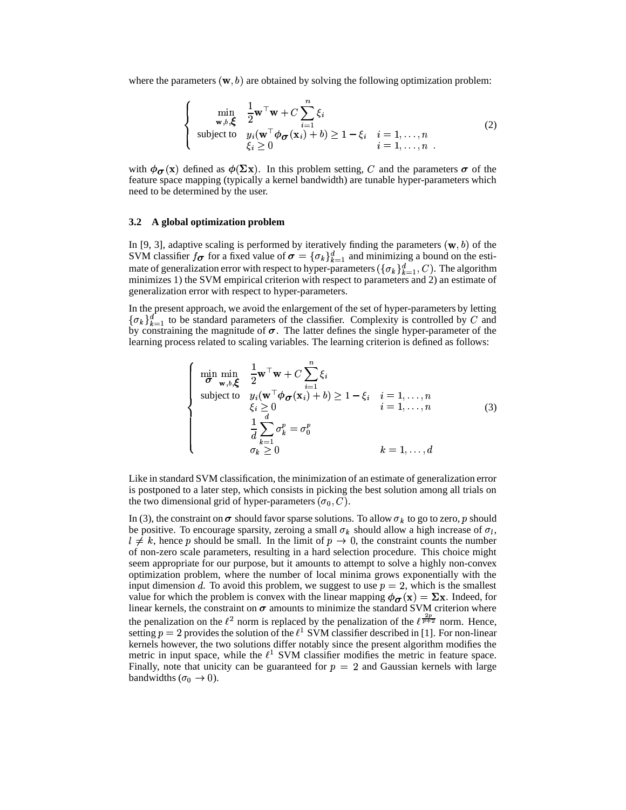where the parameters  $(w, b)$  are obtained by solving the following optimization problem:

$$
\begin{cases}\n\min_{\mathbf{w},b,\boldsymbol{\xi}} \quad \frac{1}{2} \mathbf{w}^{\top} \mathbf{w} + C \sum_{i=1}^{n} \xi_{i} \\
\text{subject to} \quad y_{i}(\mathbf{w}^{\top} \boldsymbol{\phi}_{\boldsymbol{\sigma}}(\mathbf{x}_{i}) + b) \ge 1 - \xi_{i} \quad i = 1, ..., n \\
\xi_{i} \ge 0\n\end{cases} (2)
$$

with  $\phi_{\sigma}(x)$  defined as  $\phi(\Sigma x)$ . In this problem setting, C and the parameters  $\sigma$  of the feature space mapping (typically a kernel bandwidth) are tunable hyper-parameters which need to be determined by the user.

#### **3.2 A global optimization problem**

In [9, 3], adaptive scaling is performed by iteratively finding the parameters  $(w, b)$  of the SVM classifier  $f_{\sigma}$  for a fixed value of  $\sigma = {\{\sigma_k\}}_{k=1}^d$  and minimizing a bound on the esti-S VM classifier  $j\sigma$  for a fixed value of  $\sigma = \{o_{k} \}_{k=1}^{\infty}$  and imminimizing a bound on the est-<br>mate of generalization error with respect to hyper-parameters  $(\{\sigma_k\}_{k=1}^{\infty}, C)$ . The algorithm minimizes 1) the SVM empirical criterion with respect to parameters and 2) an estimate of generalization error with respect to hyper-parameters.

In the present approach, we avoid the enlargement of the set of hyper-parameters by letting  $\{\sigma_k\}_{k=1}^d$  to be standard parameters of the classifier. Complexity is controlled by C and by constraining the magnitude of  $\sigma$ . The latter defines the single hyper-parameter of the learning process related to scaling variables. The learning criterion is defined as follows:

$$
\begin{cases}\n\min_{\boldsymbol{\sigma}} \min_{\mathbf{w},b,\boldsymbol{\xi}} \quad \frac{1}{2} \mathbf{w}^{\top} \mathbf{w} + C \sum_{i=1}^{n} \xi_{i} \\
\text{subject to} \quad y_{i} (\mathbf{w}^{\top} \boldsymbol{\phi}_{\boldsymbol{\sigma}}(\mathbf{x}_{i}) + b) \ge 1 - \xi_{i} \quad i = 1, ..., n \\
\xi_{i} \ge 0 \qquad i = 1, ..., n \\
\frac{1}{d} \sum_{k=1}^{d} \sigma_{k}^{p} = \sigma_{0}^{p} \\
\sigma_{k} \ge 0 \qquad k = 1, ..., d\n\end{cases}
$$
\n(3)

Like in standard SVM classification, the minimization of an estimate of generalization error is postponed to a later step, which consists in picking the best solution among all trials on the two dimensional grid of hyper-parameters  $(\sigma_0, C)$ .

In (3), the constraint on  $\sigma$  should favor sparse solutions. To allow  $\sigma_k$  to go to zero, p should be positive. To encourage sparsity, zeroing a small  $\sigma_k$  should allow a high increase of  $\sigma_l$ ,  $l \neq k$ , hence p should be small. In the limit of  $p \to 0$ , the constraint counts the number of non-zero scale parameters, resulting in a hard selection procedure. This choice might seem appropriate for our purpose, but it amounts to attempt to solve a highly non-convex optimization problem, where the number of local minima grows exponentially with the input dimension d. To avoid this problem, we suggest to use  $p = 2$ , which is the smallest value for which the problem is convex with the linear mapping  $\phi_{\sigma}(x) = \Sigma x$ . Indeed, for linear kernels, the constraint on  $\sigma$  amounts to minimize the standard SVM criterion where the penalization on the  $\ell^2$  norm is replaced by the penalization of the  $\ell^{\frac{1}{p+2}}$  norm. Hence, setting  $p = 2$  provides the solution of the  $\ell^1$  SVM classifier described in [1]. For non-linear kernels however, the two solutions differ notably since the present algorithm modifies the metric in input space, while the  $\ell^1$  SVM classifier modifies the metric in feature space. Finally, note that unicity can be guaranteed for  $p = 2$  and Gaussian kernels with large bandwidths ( $\sigma_0 \rightarrow 0$ ).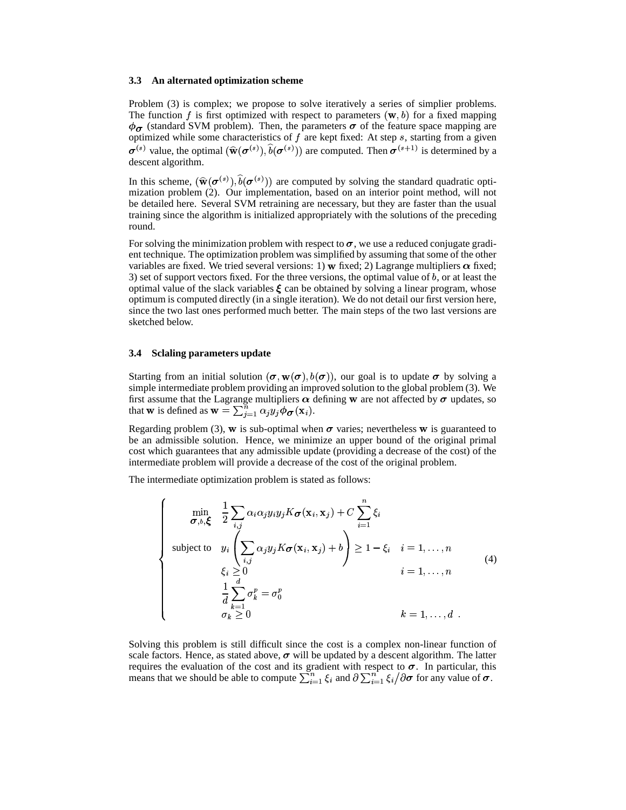#### **3.3 An alternated optimization scheme**

Problem (3) is complex; we propose to solve iteratively a series of simplier problems. The function f is first optimized with respect to parameters  $(w, b)$  for a fixed mapping  $\phi_{\sigma}$  (standard SVM problem). Then, the parameters  $\sigma$  of the feature space mapping are optimized while some characteristics of  $f$  are kept fixed: At step  $s$ , starting from a given <sup>(s)</sup> value, the optimal  $(\widehat{\mathbf{w}}(\sigma^{(s)}), \widehat{b}(\sigma^{(s)}))$  a . . .  $\cdots$ . . . . . .  $v(\theta \setminus \theta)$  are comp  $\sigma^{(s)}$ )) are computed. Then  $\sigma^{(s+1)}$  is determined by a descent algorithm.

In this scheme,  $(\widehat{\mathbf{w}}(\boldsymbol{\sigma}^{(s)}), b(\boldsymbol{\sigma}^{(s)}))$  a . . .  $9.00 \leq 71$  are comp  $($ <sup>(s)</sup>)) are computed by solving the standard quadratic optimization problem (2). Our implementation, based on an interior point method, will not be detailed here. Several SVM retraining are necessary, but they are faster than the usual training since the algorithm is initialized appropriately with the solutions of the preceding round.

For solving the minimization problem with respect to  $\sigma$ , we use a reduced conjugate gradient technique. The optimization problem was simplified by assuming that some of the other variables are fixed. We tried several versions: 1) w fixed; 2) Lagrange multipliers  $\alpha$  fixed; 3) set of support vectors fixed. For the three versions, the optimal value of  $b$ , or at least the optimal value of the slack variables  $\xi$  can be obtained by solving a linear program, whose optimum is computed directly (in a single iteration). We do not detail our first version here, since the two last ones performed much better. The main steps of the two last versions are sketched below.

#### **3.4 Sclaling parameters update**

Starting from an initial solution  $(\sigma, w(\sigma), b(\sigma))$ , our goal is to update  $\sigma$  by solving a simple intermediate problem providing an improved solution to the global problem (3). We first assume that the Lagrange multipliers  $\alpha$  defining w are not affected by  $\sigma$  updates, so that **w** is defined as  $\mathbf{w} = \sum_{j=1}^{n} \alpha_j y_j \phi_c$ ge muiupners  $\alpha$  defining w<br>  $\alpha_i^{\text{max}} = \alpha_i y_i \phi_{\sigma}(\mathbf{x}_i)$ .  $\mathbf{x}$  defin<br>  $\mathbf{a}$ ).

Regarding problem (3), w is sub-optimal when  $\sigma$  varies; nevertheless w is guaranteed to be an admissible solution. Hence, we minimize an upper bound of the original primal cost which guarantees that any admissible update (providing a decrease of the cost) of the intermediate problem will provide a decrease of the cost of the original problem.

The intermediate optimization problem is stated as follows:

$$
\begin{cases}\n\min_{\boldsymbol{\sigma},b,\boldsymbol{\xi}} & \frac{1}{2} \sum_{i,j} \alpha_i \alpha_j y_i y_j K_{\boldsymbol{\sigma}}(\mathbf{x}_i, \mathbf{x}_j) + C \sum_{i=1}^n \xi_i \\
\text{subject to} & y_i \left( \sum_{i,j} \alpha_j y_j K_{\boldsymbol{\sigma}}(\mathbf{x}_i, \mathbf{x}_j) + b \right) \ge 1 - \xi_i \quad i = 1, ..., n \\
&\xi_i \ge 0 & i = 1, ..., n \\
\frac{1}{d} \sum_{k=1}^d \sigma_k^p = \sigma_0^p \\
&\sigma_k \ge 0 & k = 1, ..., d\n\end{cases} \tag{4}
$$

Solving this problem is still difficult since the cost is a complex non-linear function of scale factors. Hence, as stated above,  $\sigma$  will be updated by a descent algorithm. The latter requires the evaluation of the cost and its gradient with respect to  $\sigma$ . In particular, this requires the evaluation of the cost and its gradient with respect to  $\sigma$ . In particular, the means that we should be able to compute  $\sum_{i=1}^{n} \xi_i$  and  $\partial \sum_{i=1}^{n} \xi_i / \partial \sigma$  for any value of  $\sigma$ .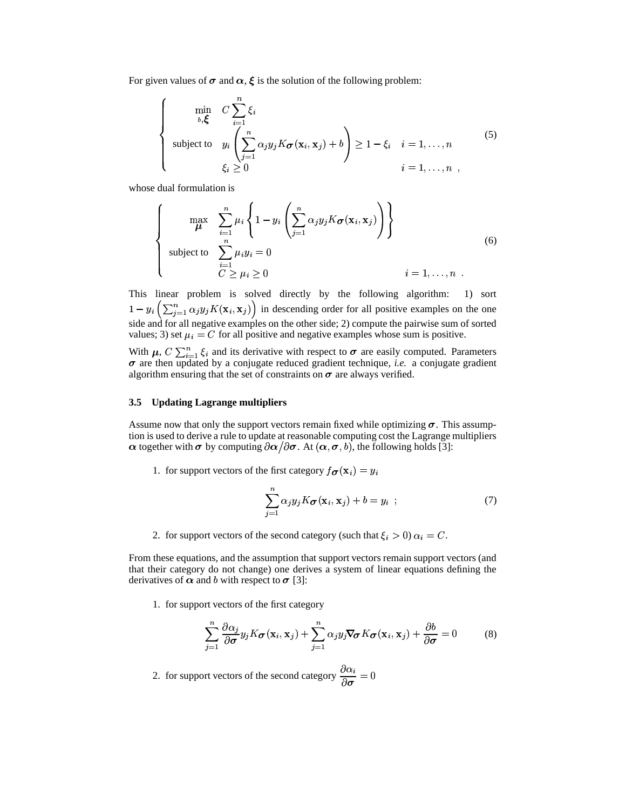For given values of  $\sigma$  and  $\alpha$ ,  $\xi$  is the solution of the following problem:

$$
\begin{cases}\n\min_{b,\xi} & C \sum_{i=1}^{n} \xi_i \\
\text{subject to} & y_i \left( \sum_{j=1}^{n} \alpha_j y_j K \sigma(\mathbf{x}_i, \mathbf{x}_j) + b \right) \ge 1 - \xi_i \quad i = 1, ..., n \\
& \xi_i \ge 0 \qquad i = 1, ..., n \n\end{cases}
$$
\n(5)

whose dual formulation is

$$
\left\{\n\begin{array}{ll}\n\max_{\mu} & \sum_{i=1}^{n} \mu_i \left\{ 1 - y_i \left( \sum_{j=1}^{n} \alpha_j y_j K \sigma(\mathbf{x}_i, \mathbf{x}_j) \right) \right\} \\
\text{subject to} & \sum_{i=1}^{n} \mu_i y_i = 0 \\
& C \geq \mu_i \geq 0\n\end{array}\n\right.\n\tag{6}
$$

This linear problem is solved directly by the following algorithm: 1) sort  $1-y_i \ (\sum_{j=1} \alpha_j)$ <br>side and for all ne  $\sqrt{2n}$   $K(\sqrt{2})$   $\binom{n}{i-1}$   $\alpha_i y_j K(\mathbf{x}_i, \mathbf{x}_j)$  in descending order for all positive examples on the one side and for all negative examples on the other side; 2) compute the pairwise sum of sorted side and for all negative examples; 3) set  $\mu_i = C$  for all  $= C$  for all positive and negative examples whose sum is positive.

With  $\mu$ ,  $C \sum_{i=1}^{n} \xi_i$  and its derivative with respect to  $\sigma$  are easily computed. Parameters  $\sigma$  are then updated by a conjugate reduced gradient technique, *i.e.* a conjugate gradient algorithm ensuring that the set of constraints on  $\sigma$  are always verified.

#### **3.5 Updating Lagrange multipliers**

Assume now that only the support vectors remain fixed while optimizing  $\sigma$ . This assumption is used to derive a rule to update at reasonable computing cost the Lagrange multipliers  $\alpha$  together with  $\sigma$  by computing  $\partial \alpha / \partial \sigma$ . At  $(\alpha, \sigma, b)$ , the following holds [3]:

1. for support vectors of the first category  $f_{\sigma}(\mathbf{x}_i) = y_i$ 

$$
\sum_{j=1}^{n} \alpha_j y_j K \sigma(\mathbf{x}_i, \mathbf{x}_j) + b = y_i ; \qquad (7)
$$

2. for support vectors of the second category (such that  $\xi_i > 0$ )  $\alpha_i = C$ .

From these equations, and the assumption that support vectors remain support vectors (and that their category do not change) one derives a system of linear equations defining the derivatives of  $\alpha$  and b with respect to  $\sigma$  [3]:

1. for support vectors of the first category

$$
\sum_{j=1}^{n} \frac{\partial \alpha_j}{\partial \sigma} y_j K \sigma(\mathbf{x}_i, \mathbf{x}_j) + \sum_{j=1}^{n} \alpha_j y_j \nabla \sigma K \sigma(\mathbf{x}_i, \mathbf{x}_j) + \frac{\partial b}{\partial \sigma} = 0 \tag{8}
$$

2. for support vectors of the second category  $\frac{\partial \alpha_i}{\partial \sigma} = 0$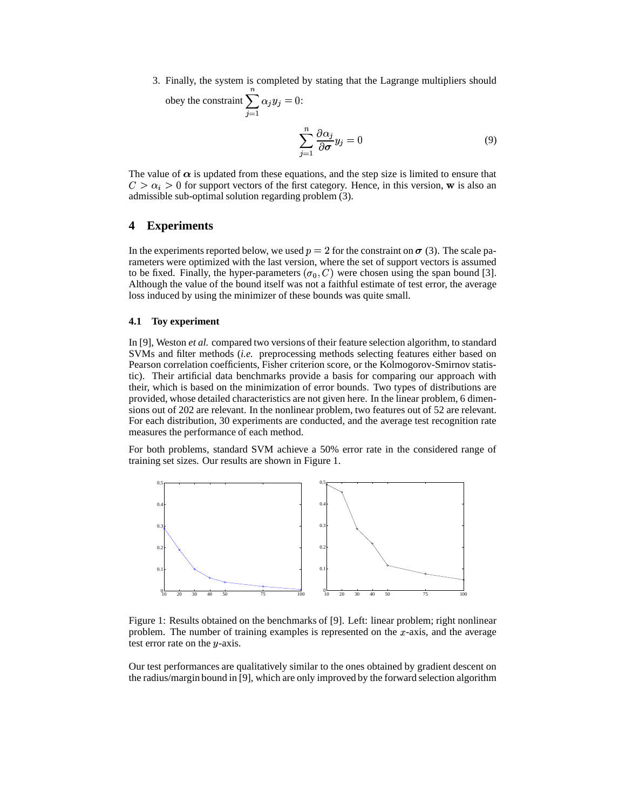3. Finally, the system is completed by stating that the Lagrange multipliers should

obey the constraint 
$$
\sum_{j=1} \alpha_j y_j = 0
$$
:  

$$
\sum_{j=1}^n \frac{\partial \alpha_j}{\partial \sigma} y_j = 0
$$
(9)

The value of  $\alpha$  is updated from these equations, and the step size is limited to ensure that  $C > \alpha_i > 0$  for support vectors of the first category. Hence, in this version, w is also an admissible sub-optimal solution regarding problem (3).

# **4 Experiments**

In the experiments reported below, we used  $p = 2$  for the constraint on  $\sigma$  (3). The scale parameters were optimized with the last version, where the set of support vectors is assumed to be fixed. Finally, the hyper-parameters  $(\sigma_0, C)$  were chosen using the span bound [3]. Although the value of the bound itself was not a faithful estimate of test error, the average loss induced by using the minimizer of these bounds was quite small.

#### **4.1 Toy experiment**

In [9], Weston *et al.* compared two versions of their feature selection algorithm, to standard SVMs and filter methods (*i.e.* preprocessing methods selecting features either based on Pearson correlation coefficients, Fisher criterion score, or the Kolmogorov-Smirnov statistic). Their artificial data benchmarks provide a basis for comparing our approach with their, which is based on the minimization of error bounds. Two types of distributions are provided, whose detailed characteristics are not given here. In the linear problem, 6 dimensions out of 202 are relevant. In the nonlinear problem, two features out of 52 are relevant. For each distribution, 30 experiments are conducted, and the average test recognition rate measures the performance of each method.

For both problems, standard SVM achieve a 50% error rate in the considered range of training set sizes. Our results are shown in Figure 1.



Figure 1: Results obtained on the benchmarks of [9]. Left: linear problem; right nonlinear problem. The number of training examples is represented on the  $x$ -axis, and the average test error rate on the  $y$ -axis.

Our test performances are qualitatively similar to the ones obtained by gradient descent on the radius/margin bound in [9], which are only improved by the forward selection algorithm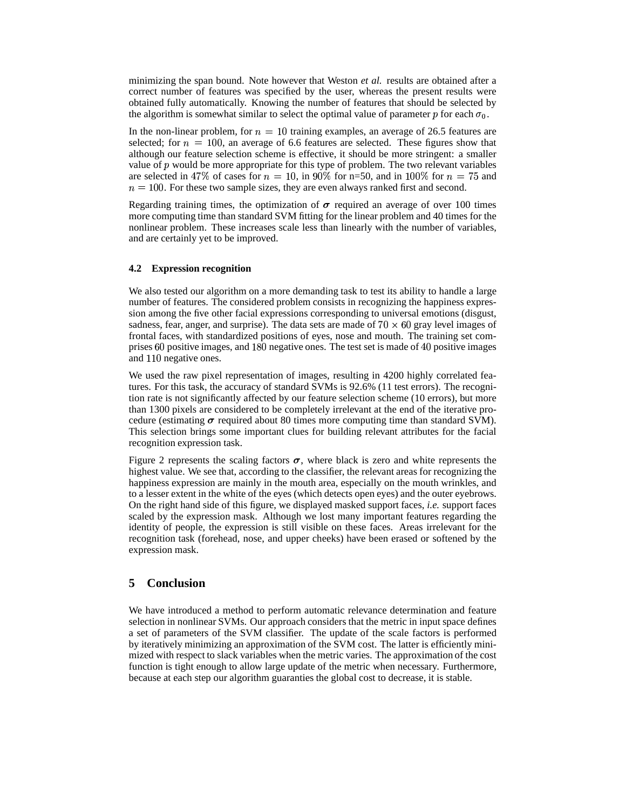minimizing the span bound. Note however that Weston *et al.* results are obtained after a correct number of features was specified by the user, whereas the present results were obtained fully automatically. Knowing the number of features that should be selected by the algorithm is somewhat similar to select the optimal value of parameter p for each  $\sigma_0$ .

In the non-linear problem, for  $n = 10$  training examples, an average of 26.5 features are selected; for  $n = 100$ , an average of 6.6 features are selected. These figures show that in the non-linear problem, for  $n$  selected; for  $n = 100$ , an avera selected; for  $n = 100$ , an average of 6.6 features are selected. These figures show that although our feature selection scheme is effective, it should be more stringent: a smaller value of  $p$  would be more appropriate for this type of problem. The two relevant variables value of p would be more appropriate for this type of problem. The two relevant variables<br>are selected in 47% of cases for  $n = 10$ , in 90% for n=50, and in 100% for  $n = 75$  and<br> $n = 100$ . For these two sample sizes, they a e selected in 47% of cases for  $n = 10$ , in 90% for n=50, and in 100% for  $n = 100$ . For these two sample sizes, they are even always ranked first and second.

Regarding training times, the optimization of  $\sigma$  required an average of over 100 times more computing time than standard SVM fitting for the linear problem and 40 times for the nonlinear problem. These increases scale less than linearly with the number of variables, and are certainly yet to be improved.

#### **4.2 Expression recognition**

We also tested our algorithm on a more demanding task to test its ability to handle a large number of features. The considered problem consists in recognizing the happiness expression among the five other facial expressions corresponding to universal emotions (disgust, sadness, fear, anger, and surprise). The data sets are made of  $70 \times 60$  gray level images of frontal faces, with standardized positions of eyes, nose and mouth. The training set comprises 60 positive images, and 180 negative ones. The test set is made of 40 positive images and 110 negative ones. and 110 negative ones.

We used the raw pixel representation of images, resulting in 4200 highly correlated features. For this task, the accuracy of standard SVMs is 92.6% (11 test errors). The recognition rate is not significantly affected by our feature selection scheme (10 errors), but more than 1300 pixels are considered to be completely irrelevant at the end of the iterative procedure (estimating  $\sigma$  required about 80 times more computing time than standard SVM). This selection brings some important clues for building relevant attributes for the facial recognition expression task.

Figure 2 represents the scaling factors  $\sigma$ , where black is zero and white represents the highest value. We see that, according to the classifier, the relevant areas for recognizing the happiness expression are mainly in the mouth area, especially on the mouth wrinkles, and to a lesser extent in the white of the eyes (which detects open eyes) and the outer eyebrows. On the right hand side of this figure, we displayed masked support faces, *i.e.* support faces scaled by the expression mask. Although we lost many important features regarding the identity of people, the expression is still visible on these faces. Areas irrelevant for the recognition task (forehead, nose, and upper cheeks) have been erased or softened by the expression mask.

# **5 Conclusion**

We have introduced a method to perform automatic relevance determination and feature selection in nonlinear SVMs. Our approach considers that the metric in input space defines a set of parameters of the SVM classifier. The update of the scale factors is performed by iteratively minimizing an approximation of the SVM cost. The latter is efficiently minimized with respect to slack variables when the metric varies. The approximation of the cost function is tight enough to allow large update of the metric when necessary. Furthermore, because at each step our algorithm guaranties the global cost to decrease, it is stable.